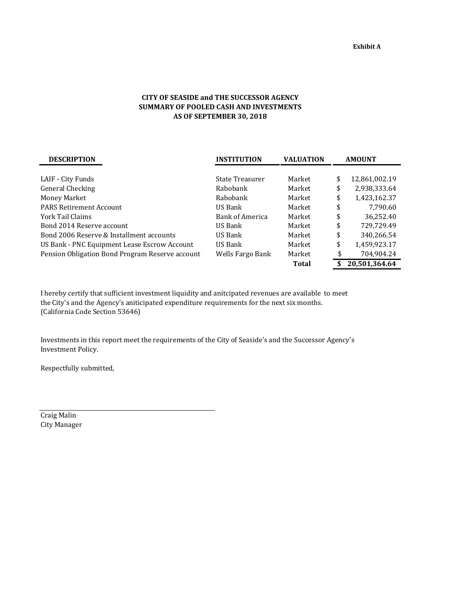## **CITY OF SEASIDE and THE SUCCESSOR AGENCY SUMMARY OF POOLED CASH AND INVESTMENTS AS OF SEPTEMBER 30, 2018**

| <b>DESCRIPTION</b>                              | <b>INSTITUTION</b>     | <b>VALUATION</b> | <b>AMOUNT</b> |               |  |
|-------------------------------------------------|------------------------|------------------|---------------|---------------|--|
|                                                 |                        |                  |               |               |  |
| LAIF - City Funds                               | State Treasurer        | Market           | \$            | 12,861,002.19 |  |
| General Checking                                | Rabobank               | Market           | \$            | 2,938,333.64  |  |
| Money Market                                    | Rabobank               | Market           | \$            | 1,423,162.37  |  |
| <b>PARS Retirement Account</b>                  | US Bank                | Market           | \$            | 7,790.60      |  |
| York Tail Claims                                | <b>Bank of America</b> | Market           | \$            | 36,252.40     |  |
| Bond 2014 Reserve account                       | US Bank                | Market           | \$            | 729,729.49    |  |
| Bond 2006 Reserve & Installment accounts        | US Bank                | Market           | \$            | 340,266.54    |  |
| US Bank - PNC Equipment Lease Escrow Account    | US Bank                | Market           | \$            | 1,459,923.17  |  |
| Pension Obligation Bond Program Reserve account | Wells Fargo Bank       | Market           | \$            | 704,904.24    |  |
|                                                 |                        | <b>Total</b>     |               | 20,501,364.64 |  |

I hereby certify that sufficient investment liquidity and anitcipated revenues are available to meet the City's and the Agency's aniticipated expenditure requirements for the next six months. (California Code Section 53646)

Investments in this report meet the requirements of the City of Seaside's and the Successor Agency's Investment Policy.

Respectfully submitted,

Craig Malin City Manager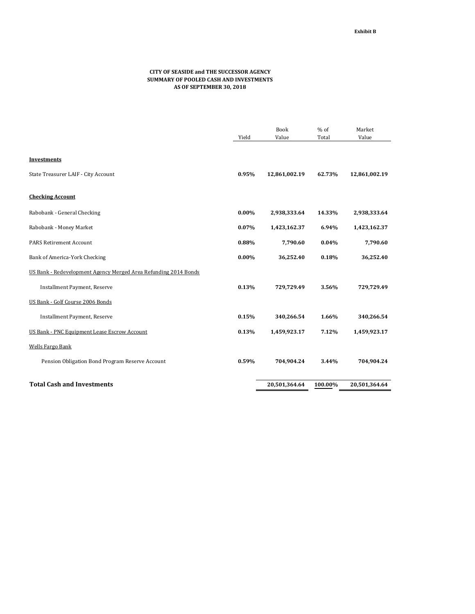## **CITY OF SEASIDE and THE SUCCESSOR AGENCY SUMMARY OF POOLED CASH AND INVESTMENTS AS OF SEPTEMBER 30, 2018**

|                                                                 |          | <b>Book</b><br>Value | $%$ of  | Market<br>Value |
|-----------------------------------------------------------------|----------|----------------------|---------|-----------------|
|                                                                 | Yield    |                      | Total   |                 |
| <b>Investments</b>                                              |          |                      |         |                 |
| State Treasurer LAIF - City Account                             | 0.95%    | 12,861,002.19        | 62.73%  | 12,861,002.19   |
| <b>Checking Account</b>                                         |          |                      |         |                 |
| Rabobank - General Checking                                     | $0.00\%$ | 2,938,333.64         | 14.33%  | 2,938,333.64    |
| Rabobank - Money Market                                         | 0.07%    | 1,423,162.37         | 6.94%   | 1,423,162.37    |
| <b>PARS Retirement Account</b>                                  | 0.88%    | 7,790.60             | 0.04%   | 7,790.60        |
| Bank of America-York Checking                                   | $0.00\%$ | 36,252.40            | 0.18%   | 36,252.40       |
| US Bank - Redevelopment Agency Merged Area Refunding 2014 Bonds |          |                      |         |                 |
| Installment Payment, Reserve                                    | 0.13%    | 729,729.49           | 3.56%   | 729,729.49      |
| US Bank - Golf Course 2006 Bonds                                |          |                      |         |                 |
| Installment Payment, Reserve                                    | 0.15%    | 340,266.54           | 1.66%   | 340,266.54      |
| <b>US Bank - PNC Equipment Lease Escrow Account</b>             | 0.13%    | 1,459,923.17         | 7.12%   | 1,459,923.17    |
| <b>Wells Fargo Bank</b>                                         |          |                      |         |                 |
| Pension Obligation Bond Program Reserve Account                 | 0.59%    | 704,904.24           | 3.44%   | 704,904.24      |
| <b>Total Cash and Investments</b>                               |          | 20,501,364.64        | 100.00% | 20,501,364.64   |
|                                                                 |          |                      |         |                 |